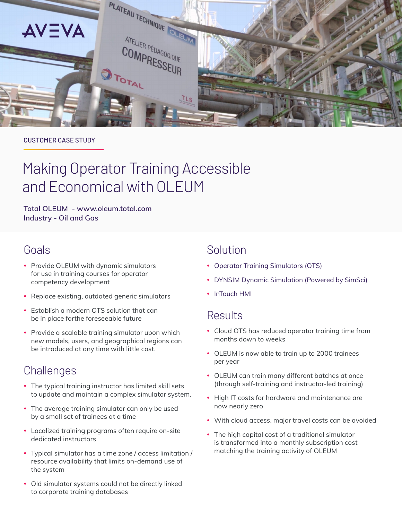

#### CUSTOMER CASE STUDY

# Making Operator Training Accessible and Economical with OLEUM

**Total OLEUM - www.oleum.total.com Industry - Oil and Gas**

# Goals

- Provide OLEUM with dynamic simulators for use in training courses for operator competency development
- Replace existing, outdated generic simulators
- Establish a modern OTS solution that can be in place forthe foreseeable future
- Provide a scalable training simulator upon which new models, users, and geographical regions can be introduced at any time with little cost.

# **Challenges**

- The typical training instructor has limited skill sets to update and maintain a complex simulator system.
- The average training simulator can only be used by a small set of trainees at a time
- Localized training programs often require on-site dedicated instructors
- Typical simulator has a time zone / access limitation / resource availability that limits on-demand use of the system
- Old simulator systems could not be directly linked to corporate training databases

# Solution

- Operator Training Simulators (OTS)
- DYNSIM Dynamic Simulation (Powered by SimSci)
- InTouch HMI

## **Results**

- Cloud OTS has reduced operator training time from months down to weeks
- OLEUM is now able to train up to 2000 trainees per year
- OLEUM can train many different batches at once (through self-training and instructor-led training)
- High IT costs for hardware and maintenance are now nearly zero
- With cloud access, major travel costs can be avoided
- The high capital cost of a traditional simulator is transformed into a monthly subscription cost matching the training activity of OLEUM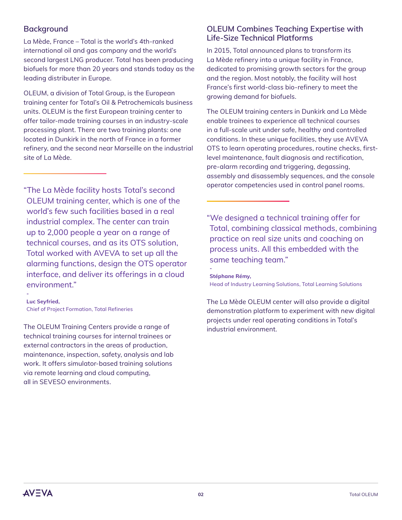## **Background**

La Mède, France – Total is the world's 4th-ranked international oil and gas company and the world's second largest LNG producer. Total has been producing biofuels for more than 20 years and stands today as the leading distributer in Europe.

OLEUM, a division of Total Group, is the European training center for Total's Oil & Petrochemicals business units. OLEUM is the first European training center to offer tailor-made training courses in an industry-scale processing plant. There are two training plants: one located in Dunkirk in the north of France in a former refinery, and the second near Marseille on the industrial site of La Mède.

"The La Mède facility hosts Total's second OLEUM training center, which is one of the world's few such facilities based in a real industrial complex. The center can train up to 2,000 people a year on a range of technical courses, and as its OTS solution, Total worked with AVEVA to set up all the alarming functions, design the OTS operator interface, and deliver its offerings in a cloud environment."

**Luc Seyfried,** Chief of Project Formation, Total Refineries

The OLEUM Training Centers provide a range of technical training courses for internal trainees or external contractors in the areas of production, maintenance, inspection, safety, analysis and lab work. It offers simulator-based training solutions via remote learning and cloud computing, all in SEVESO environments.

## **OLEUM Combines Teaching Expertise with Life-Size Technical Platforms**

In 2015, Total announced plans to transform its La Mède refinery into a unique facility in France, dedicated to promising growth sectors for the group and the region. Most notably, the facility will host France's first world-class bio-refinery to meet the growing demand for biofuels.

The OLEUM training centers in Dunkirk and La Mède enable trainees to experience all technical courses in a full-scale unit under safe, healthy and controlled conditions. In these unique facilities, they use AVEVA OTS to learn operating procedures, routine checks, firstlevel maintenance, fault diagnosis and rectification, pre-alarm recording and triggering, degassing, assembly and disassembly sequences, and the console operator competencies used in control panel rooms.

"We designed a technical training offer for Total, combining classical methods, combining practice on real size units and coaching on process units. All this embedded with the same teaching team."

#### **- Stéphane Rémy,**

Head of Industry Learning Solutions, Total Learning Solutions

The La Mède OLEUM center will also provide a digital demonstration platform to experiment with new digital projects under real operating conditions in Total's industrial environment.

**-**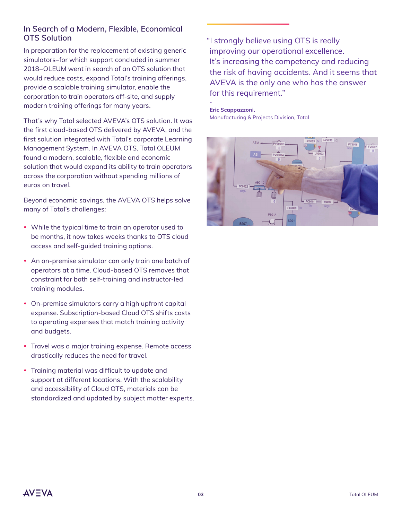## **In Search of a Modern, Flexible, Economical OTS Solution**

In preparation for the replacement of existing generic simulators–for which support concluded in summer 2018–OLEUM went in search of an OTS solution that would reduce costs, expand Total's training offerings, provide a scalable training simulator, enable the corporation to train operators off-site, and supply modern training offerings for many years.

That's why Total selected AVEVA's OTS solution. It was the first cloud-based OTS delivered by AVEVA, and the first solution integrated with Total's corporate Learning Management System. In AVEVA OTS, Total OLEUM found a modern, scalable, flexible and economic solution that would expand its ability to train operators across the corporation without spending millions of euros on travel.

Beyond economic savings, the AVEVA OTS helps solve many of Total's challenges:

- While the typical time to train an operator used to be months, it now takes weeks thanks to OTS cloud access and self-guided training options.
- An on-premise simulator can only train one batch of operators at a time. Cloud-based OTS removes that constraint for both self-training and instructor-led training modules.
- On-premise simulators carry a high upfront capital expense. Subscription-based Cloud OTS shifts costs to operating expenses that match training activity and budgets.
- Travel was a major training expense. Remote access drastically reduces the need for travel.
- Training material was difficult to update and support at different locations. With the scalability and accessibility of Cloud OTS, materials can be standardized and updated by subject matter experts.

"I strongly believe using OTS is really improving our operational excellence. It's increasing the competency and reducing the risk of having accidents. And it seems that AVEVA is the only one who has the answer for this requirement."

**Eric Scappazzoni,** Manufacturing & Projects Division, Total

**-**